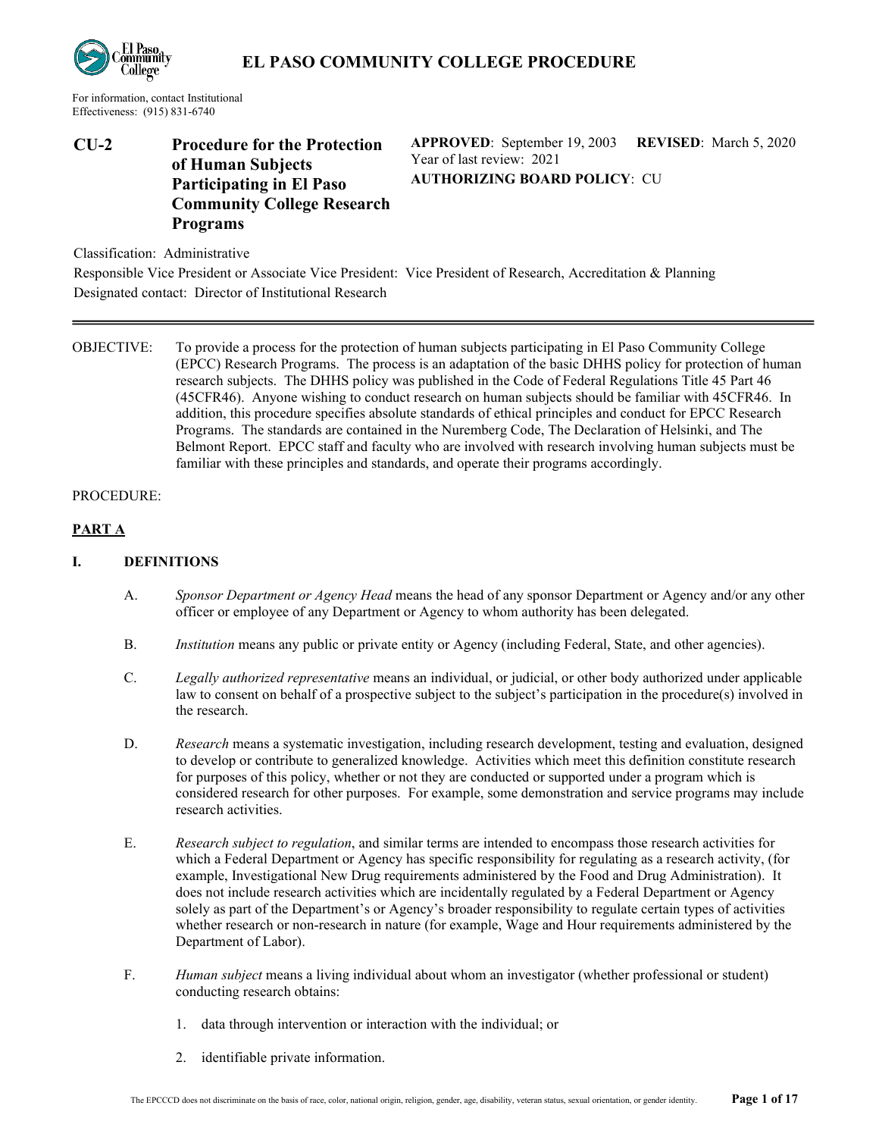

For information, contact Institutional Effectiveness: (915) 831-6740

# **CU-2 Procedure for the Protection of Human Subjects Participating in El Paso Community College Research Programs**

**APPROVED**: September 19, 2003 Year of last review: 2021 **REVISED**: March 5, 2020 **AUTHORIZING BOARD POLICY**: CU

Classification: Administrative

Responsible Vice President or Associate Vice President: Vice President of Research, Accreditation & Planning Designated contact: Director of Institutional Research

OBJECTIVE: To provide a process for the protection of human subjects participating in El Paso Community College (EPCC) Research Programs. The process is an adaptation of the basic DHHS policy for protection of human research subjects. The DHHS policy was published in the Code of Federal Regulations Title 45 Part 46 (45CFR46). Anyone wishing to conduct research on human subjects should be familiar with 45CFR46. In addition, this procedure specifies absolute standards of ethical principles and conduct for EPCC Research Programs. The standards are contained in the Nuremberg Code, The Declaration of Helsinki, and The Belmont Report. EPCC staff and faculty who are involved with research involving human subjects must be familiar with these principles and standards, and operate their programs accordingly.

#### PROCEDURE:

# **PART A**

# **I. DEFINITIONS**

- A. *Sponsor Department or Agency Head* means the head of any sponsor Department or Agency and/or any other officer or employee of any Department or Agency to whom authority has been delegated.
- B. *Institution* means any public or private entity or Agency (including Federal, State, and other agencies).
- C. *Legally authorized representative* means an individual, or judicial, or other body authorized under applicable law to consent on behalf of a prospective subject to the subject's participation in the procedure(s) involved in the research.
- D. *Research* means a systematic investigation, including research development, testing and evaluation, designed to develop or contribute to generalized knowledge. Activities which meet this definition constitute research for purposes of this policy, whether or not they are conducted or supported under a program which is considered research for other purposes. For example, some demonstration and service programs may include research activities.
- E. *Research subject to regulation*, and similar terms are intended to encompass those research activities for which a Federal Department or Agency has specific responsibility for regulating as a research activity, (for example, Investigational New Drug requirements administered by the Food and Drug Administration). It does not include research activities which are incidentally regulated by a Federal Department or Agency solely as part of the Department's or Agency's broader responsibility to regulate certain types of activities whether research or non-research in nature (for example, Wage and Hour requirements administered by the Department of Labor).
- F. *Human subject* means a living individual about whom an investigator (whether professional or student) conducting research obtains:
	- 1. data through intervention or interaction with the individual; or
	- 2. identifiable private information.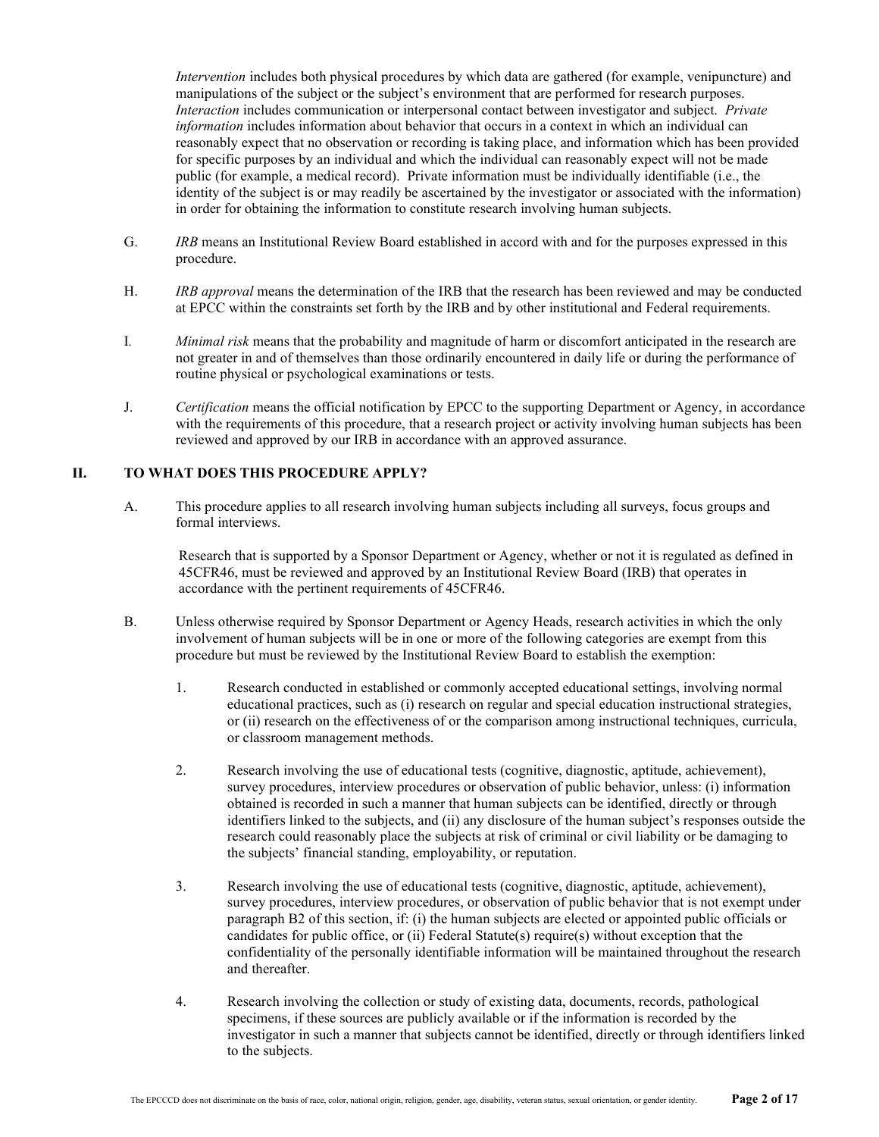*Intervention* includes both physical procedures by which data are gathered (for example, venipuncture) and manipulations of the subject or the subject's environment that are performed for research purposes. *Interaction* includes communication or interpersonal contact between investigator and subject. *Private information* includes information about behavior that occurs in a context in which an individual can reasonably expect that no observation or recording is taking place, and information which has been provided for specific purposes by an individual and which the individual can reasonably expect will not be made public (for example, a medical record). Private information must be individually identifiable (i.e., the identity of the subject is or may readily be ascertained by the investigator or associated with the information) in order for obtaining the information to constitute research involving human subjects.

- G. *IRB* means an Institutional Review Board established in accord with and for the purposes expressed in this procedure.
- H. *IRB approval* means the determination of the IRB that the research has been reviewed and may be conducted at EPCC within the constraints set forth by the IRB and by other institutional and Federal requirements.
- I*. Minimal risk* means that the probability and magnitude of harm or discomfort anticipated in the research are not greater in and of themselves than those ordinarily encountered in daily life or during the performance of routine physical or psychological examinations or tests.
- J. *Certification* means the official notification by EPCC to the supporting Department or Agency, in accordance with the requirements of this procedure, that a research project or activity involving human subjects has been reviewed and approved by our IRB in accordance with an approved assurance.

# **II. TO WHAT DOES THIS PROCEDURE APPLY?**

A. This procedure applies to all research involving human subjects including all surveys, focus groups and formal interviews.

Research that is supported by a Sponsor Department or Agency, whether or not it is regulated as defined in 45CFR46, must be reviewed and approved by an Institutional Review Board (IRB) that operates in accordance with the pertinent requirements of 45CFR46.

- B. Unless otherwise required by Sponsor Department or Agency Heads, research activities in which the only involvement of human subjects will be in one or more of the following categories are exempt from this procedure but must be reviewed by the Institutional Review Board to establish the exemption:
	- 1. Research conducted in established or commonly accepted educational settings, involving normal educational practices, such as (i) research on regular and special education instructional strategies, or (ii) research on the effectiveness of or the comparison among instructional techniques, curricula, or classroom management methods.
	- 2. Research involving the use of educational tests (cognitive, diagnostic, aptitude, achievement), survey procedures, interview procedures or observation of public behavior, unless: (i) information obtained is recorded in such a manner that human subjects can be identified, directly or through identifiers linked to the subjects, and (ii) any disclosure of the human subject's responses outside the research could reasonably place the subjects at risk of criminal or civil liability or be damaging to the subjects' financial standing, employability, or reputation.
	- 3. Research involving the use of educational tests (cognitive, diagnostic, aptitude, achievement), survey procedures, interview procedures, or observation of public behavior that is not exempt under paragraph B2 of this section, if: (i) the human subjects are elected or appointed public officials or candidates for public office, or (ii) Federal Statute(s) require(s) without exception that the confidentiality of the personally identifiable information will be maintained throughout the research and thereafter.
	- 4. Research involving the collection or study of existing data, documents, records, pathological specimens, if these sources are publicly available or if the information is recorded by the investigator in such a manner that subjects cannot be identified, directly or through identifiers linked to the subjects.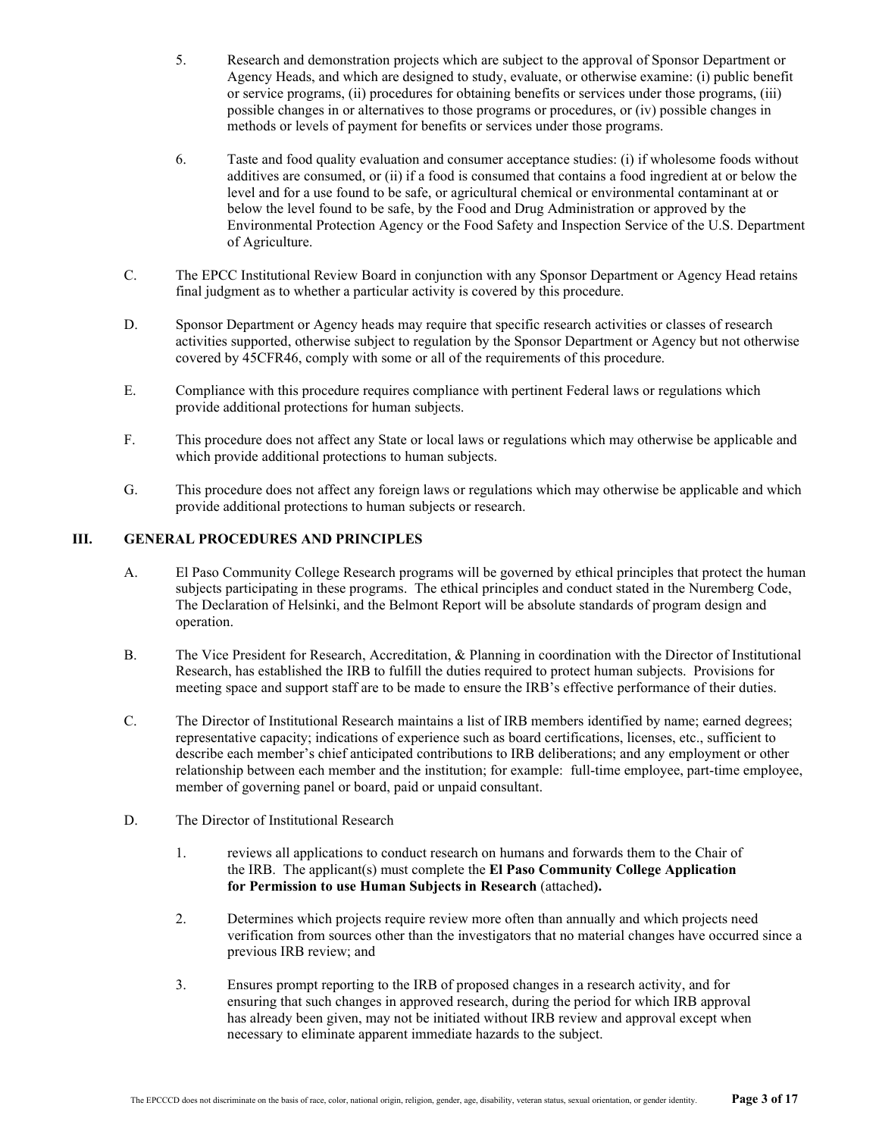- 5. Research and demonstration projects which are subject to the approval of Sponsor Department or Agency Heads, and which are designed to study, evaluate, or otherwise examine: (i) public benefit or service programs, (ii) procedures for obtaining benefits or services under those programs, (iii) possible changes in or alternatives to those programs or procedures, or (iv) possible changes in methods or levels of payment for benefits or services under those programs.
- 6. Taste and food quality evaluation and consumer acceptance studies: (i) if wholesome foods without additives are consumed, or (ii) if a food is consumed that contains a food ingredient at or below the level and for a use found to be safe, or agricultural chemical or environmental contaminant at or below the level found to be safe, by the Food and Drug Administration or approved by the Environmental Protection Agency or the Food Safety and Inspection Service of the U.S. Department of Agriculture.
- C. The EPCC Institutional Review Board in conjunction with any Sponsor Department or Agency Head retains final judgment as to whether a particular activity is covered by this procedure.
- D. Sponsor Department or Agency heads may require that specific research activities or classes of research activities supported, otherwise subject to regulation by the Sponsor Department or Agency but not otherwise covered by 45CFR46, comply with some or all of the requirements of this procedure.
- E. Compliance with this procedure requires compliance with pertinent Federal laws or regulations which provide additional protections for human subjects.
- F. This procedure does not affect any State or local laws or regulations which may otherwise be applicable and which provide additional protections to human subjects.
- G. This procedure does not affect any foreign laws or regulations which may otherwise be applicable and which provide additional protections to human subjects or research.

# **III. GENERAL PROCEDURES AND PRINCIPLES**

- A. El Paso Community College Research programs will be governed by ethical principles that protect the human subjects participating in these programs. The ethical principles and conduct stated in the Nuremberg Code, The Declaration of Helsinki, and the Belmont Report will be absolute standards of program design and operation.
- B. The Vice President for Research, Accreditation, & Planning in coordination with the Director of Institutional Research, has established the IRB to fulfill the duties required to protect human subjects. Provisions for meeting space and support staff are to be made to ensure the IRB's effective performance of their duties.
- C. The Director of Institutional Research maintains a list of IRB members identified by name; earned degrees; representative capacity; indications of experience such as board certifications, licenses, etc., sufficient to describe each member's chief anticipated contributions to IRB deliberations; and any employment or other relationship between each member and the institution; for example: full-time employee, part-time employee, member of governing panel or board, paid or unpaid consultant.
- D. The Director of Institutional Research
	- 1. reviews all applications to conduct research on humans and forwards them to the Chair of the IRB. The applicant(s) must complete the **El Paso Community College Application for Permission to use Human Subjects in Research** (attached**).**
	- 2. Determines which projects require review more often than annually and which projects need verification from sources other than the investigators that no material changes have occurred since a previous IRB review; and
	- 3. Ensures prompt reporting to the IRB of proposed changes in a research activity, and for ensuring that such changes in approved research, during the period for which IRB approval has already been given, may not be initiated without IRB review and approval except when necessary to eliminate apparent immediate hazards to the subject.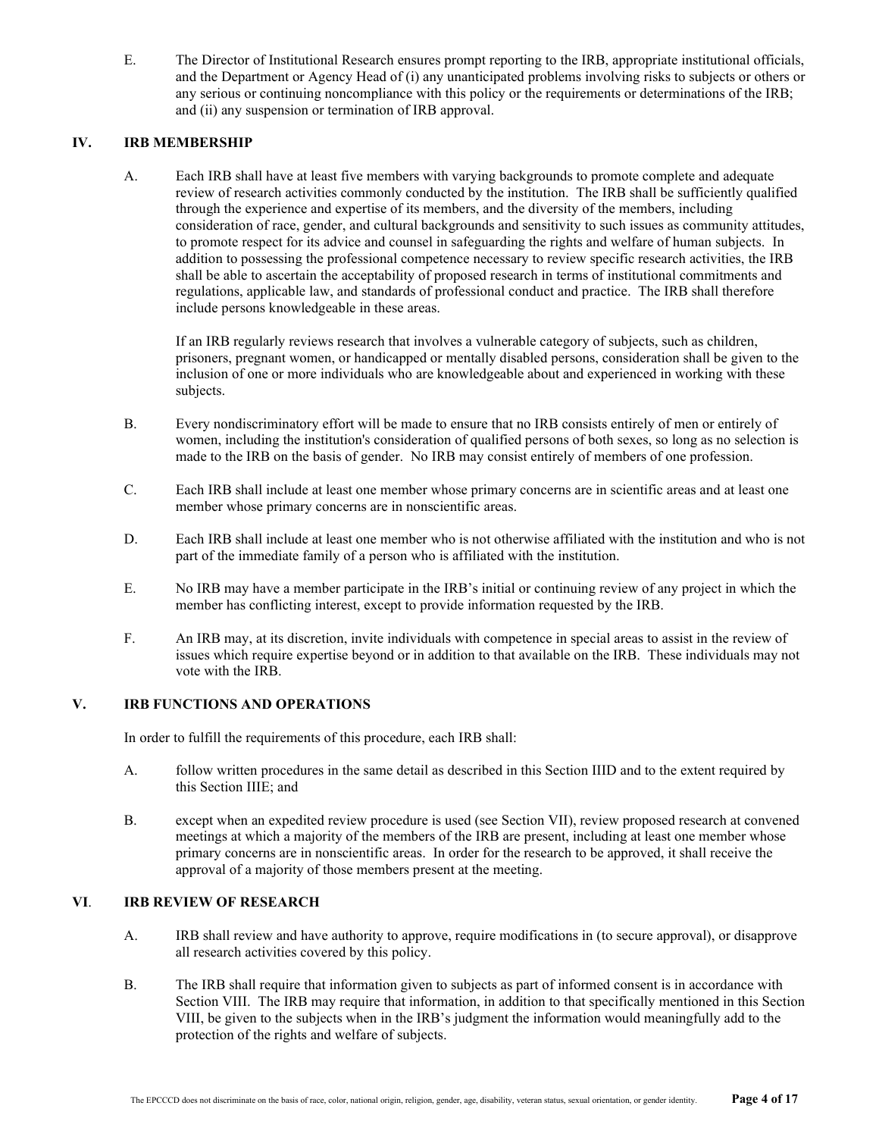E. The Director of Institutional Research ensures prompt reporting to the IRB, appropriate institutional officials, and the Department or Agency Head of (i) any unanticipated problems involving risks to subjects or others or any serious or continuing noncompliance with this policy or the requirements or determinations of the IRB; and (ii) any suspension or termination of IRB approval.

# **IV. IRB MEMBERSHIP**

A. Each IRB shall have at least five members with varying backgrounds to promote complete and adequate review of research activities commonly conducted by the institution. The IRB shall be sufficiently qualified through the experience and expertise of its members, and the diversity of the members, including consideration of race, gender, and cultural backgrounds and sensitivity to such issues as community attitudes, to promote respect for its advice and counsel in safeguarding the rights and welfare of human subjects. In addition to possessing the professional competence necessary to review specific research activities, the IRB shall be able to ascertain the acceptability of proposed research in terms of institutional commitments and regulations, applicable law, and standards of professional conduct and practice. The IRB shall therefore include persons knowledgeable in these areas.

If an IRB regularly reviews research that involves a vulnerable category of subjects, such as children, prisoners, pregnant women, or handicapped or mentally disabled persons, consideration shall be given to the inclusion of one or more individuals who are knowledgeable about and experienced in working with these subjects.

- B. Every nondiscriminatory effort will be made to ensure that no IRB consists entirely of men or entirely of women, including the institution's consideration of qualified persons of both sexes, so long as no selection is made to the IRB on the basis of gender. No IRB may consist entirely of members of one profession.
- C. Each IRB shall include at least one member whose primary concerns are in scientific areas and at least one member whose primary concerns are in nonscientific areas.
- D. Each IRB shall include at least one member who is not otherwise affiliated with the institution and who is not part of the immediate family of a person who is affiliated with the institution.
- E. No IRB may have a member participate in the IRB's initial or continuing review of any project in which the member has conflicting interest, except to provide information requested by the IRB.
- F. An IRB may, at its discretion, invite individuals with competence in special areas to assist in the review of issues which require expertise beyond or in addition to that available on the IRB. These individuals may not vote with the IRB.

# **V. IRB FUNCTIONS AND OPERATIONS**

In order to fulfill the requirements of this procedure, each IRB shall:

- A. follow written procedures in the same detail as described in this Section IIID and to the extent required by this Section IIIE; and
- B. except when an expedited review procedure is used (see Section VII), review proposed research at convened meetings at which a majority of the members of the IRB are present, including at least one member whose primary concerns are in nonscientific areas. In order for the research to be approved, it shall receive the approval of a majority of those members present at the meeting.

#### **VI**. **IRB REVIEW OF RESEARCH**

- A. IRB shall review and have authority to approve, require modifications in (to secure approval), or disapprove all research activities covered by this policy.
- B. The IRB shall require that information given to subjects as part of informed consent is in accordance with Section VIII. The IRB may require that information, in addition to that specifically mentioned in this Section VIII, be given to the subjects when in the IRB's judgment the information would meaningfully add to the protection of the rights and welfare of subjects.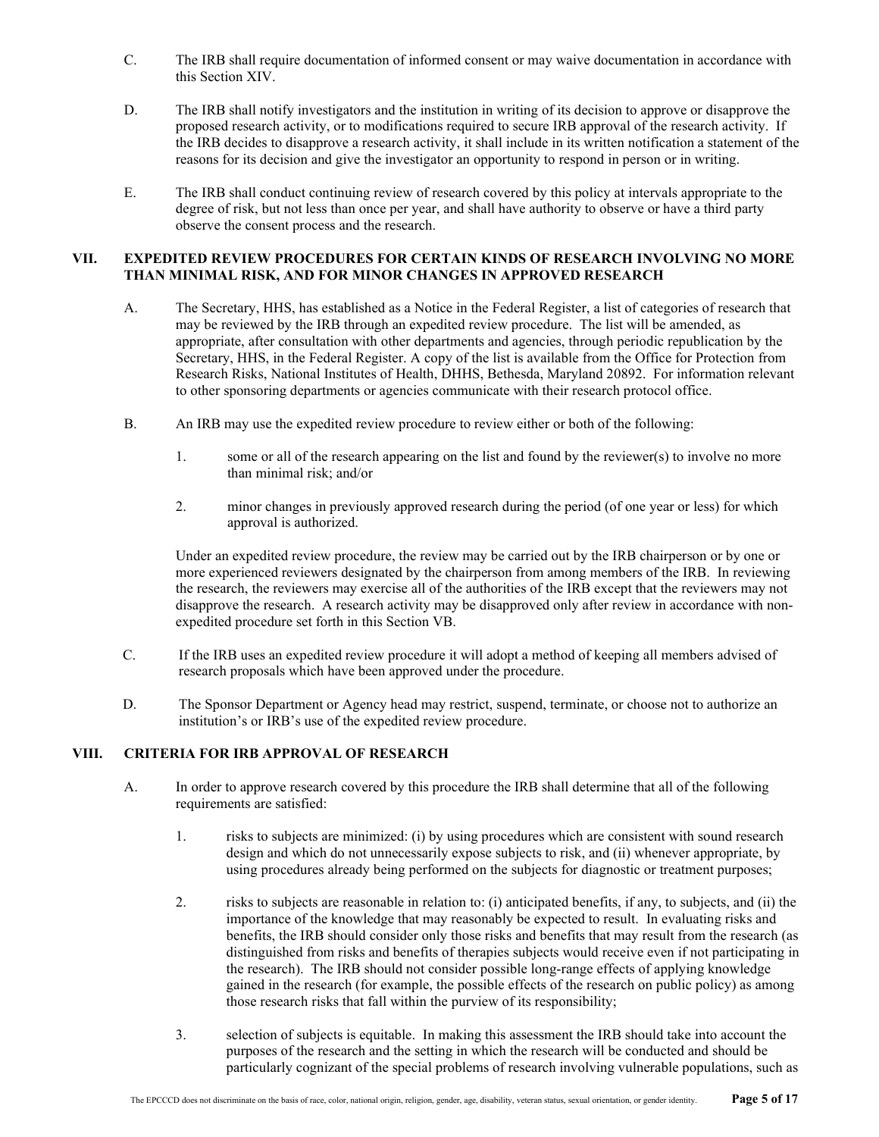- C. The IRB shall require documentation of informed consent or may waive documentation in accordance with this Section XIV.
- D. The IRB shall notify investigators and the institution in writing of its decision to approve or disapprove the proposed research activity, or to modifications required to secure IRB approval of the research activity. If the IRB decides to disapprove a research activity, it shall include in its written notification a statement of the reasons for its decision and give the investigator an opportunity to respond in person or in writing.
- E. The IRB shall conduct continuing review of research covered by this policy at intervals appropriate to the degree of risk, but not less than once per year, and shall have authority to observe or have a third party observe the consent process and the research.

#### **VII. EXPEDITED REVIEW PROCEDURES FOR CERTAIN KINDS OF RESEARCH INVOLVING NO MORE THAN MINIMAL RISK, AND FOR MINOR CHANGES IN APPROVED RESEARCH**

- A. The Secretary, HHS, has established as a Notice in the Federal Register, a list of categories of research that may be reviewed by the IRB through an expedited review procedure. The list will be amended, as appropriate, after consultation with other departments and agencies, through periodic republication by the Secretary, HHS, in the Federal Register. A copy of the list is available from the Office for Protection from Research Risks, National Institutes of Health, DHHS, Bethesda, Maryland 20892. For information relevant to other sponsoring departments or agencies communicate with their research protocol office.
- B. An IRB may use the expedited review procedure to review either or both of the following:
	- 1. some or all of the research appearing on the list and found by the reviewer(s) to involve no more than minimal risk; and/or
	- 2. minor changes in previously approved research during the period (of one year or less) for which approval is authorized.

Under an expedited review procedure, the review may be carried out by the IRB chairperson or by one or more experienced reviewers designated by the chairperson from among members of the IRB. In reviewing the research, the reviewers may exercise all of the authorities of the IRB except that the reviewers may not disapprove the research. A research activity may be disapproved only after review in accordance with nonexpedited procedure set forth in this Section VB.

- C. If the IRB uses an expedited review procedure it will adopt a method of keeping all members advised of research proposals which have been approved under the procedure.
- D. The Sponsor Department or Agency head may restrict, suspend, terminate, or choose not to authorize an institution's or IRB's use of the expedited review procedure.

# **VIII. CRITERIA FOR IRB APPROVAL OF RESEARCH**

- A. In order to approve research covered by this procedure the IRB shall determine that all of the following requirements are satisfied:
	- 1. risks to subjects are minimized: (i) by using procedures which are consistent with sound research design and which do not unnecessarily expose subjects to risk, and (ii) whenever appropriate, by using procedures already being performed on the subjects for diagnostic or treatment purposes;
	- 2. risks to subjects are reasonable in relation to: (i) anticipated benefits, if any, to subjects, and (ii) the importance of the knowledge that may reasonably be expected to result. In evaluating risks and benefits, the IRB should consider only those risks and benefits that may result from the research (as distinguished from risks and benefits of therapies subjects would receive even if not participating in the research). The IRB should not consider possible long-range effects of applying knowledge gained in the research (for example, the possible effects of the research on public policy) as among those research risks that fall within the purview of its responsibility;
	- 3. selection of subjects is equitable. In making this assessment the IRB should take into account the purposes of the research and the setting in which the research will be conducted and should be particularly cognizant of the special problems of research involving vulnerable populations, such as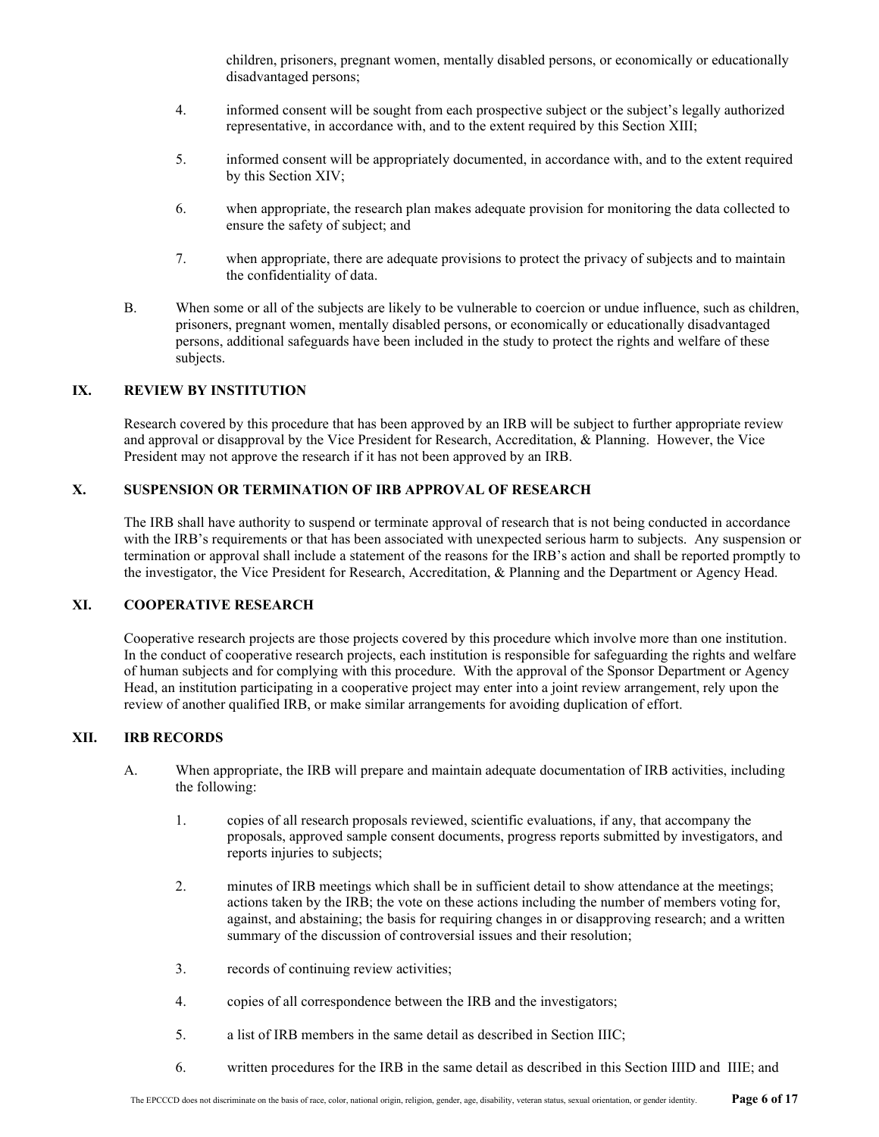children, prisoners, pregnant women, mentally disabled persons, or economically or educationally disadvantaged persons;

- 4. informed consent will be sought from each prospective subject or the subject's legally authorized representative, in accordance with, and to the extent required by this Section XIII;
- 5. informed consent will be appropriately documented, in accordance with, and to the extent required by this Section XIV;
- 6. when appropriate, the research plan makes adequate provision for monitoring the data collected to ensure the safety of subject; and
- 7. when appropriate, there are adequate provisions to protect the privacy of subjects and to maintain the confidentiality of data.
- B. When some or all of the subjects are likely to be vulnerable to coercion or undue influence, such as children, prisoners, pregnant women, mentally disabled persons, or economically or educationally disadvantaged persons, additional safeguards have been included in the study to protect the rights and welfare of these subjects.

# **IX. REVIEW BY INSTITUTION**

Research covered by this procedure that has been approved by an IRB will be subject to further appropriate review and approval or disapproval by the Vice President for Research, Accreditation, & Planning. However, the Vice President may not approve the research if it has not been approved by an IRB.

#### **X. SUSPENSION OR TERMINATION OF IRB APPROVAL OF RESEARCH**

The IRB shall have authority to suspend or terminate approval of research that is not being conducted in accordance with the IRB's requirements or that has been associated with unexpected serious harm to subjects. Any suspension or termination or approval shall include a statement of the reasons for the IRB's action and shall be reported promptly to the investigator, the Vice President for Research, Accreditation, & Planning and the Department or Agency Head.

#### **XI. COOPERATIVE RESEARCH**

Cooperative research projects are those projects covered by this procedure which involve more than one institution. In the conduct of cooperative research projects, each institution is responsible for safeguarding the rights and welfare of human subjects and for complying with this procedure. With the approval of the Sponsor Department or Agency Head, an institution participating in a cooperative project may enter into a joint review arrangement, rely upon the review of another qualified IRB, or make similar arrangements for avoiding duplication of effort.

#### **XII. IRB RECORDS**

- A. When appropriate, the IRB will prepare and maintain adequate documentation of IRB activities, including the following:
	- 1. copies of all research proposals reviewed, scientific evaluations, if any, that accompany the proposals, approved sample consent documents, progress reports submitted by investigators, and reports injuries to subjects;
	- 2. minutes of IRB meetings which shall be in sufficient detail to show attendance at the meetings; actions taken by the IRB; the vote on these actions including the number of members voting for, against, and abstaining; the basis for requiring changes in or disapproving research; and a written summary of the discussion of controversial issues and their resolution;
	- 3. records of continuing review activities;
	- 4. copies of all correspondence between the IRB and the investigators;
	- 5. a list of IRB members in the same detail as described in Section IIIC;
	- 6. written procedures for the IRB in the same detail as described in this Section IIID and IIIE; and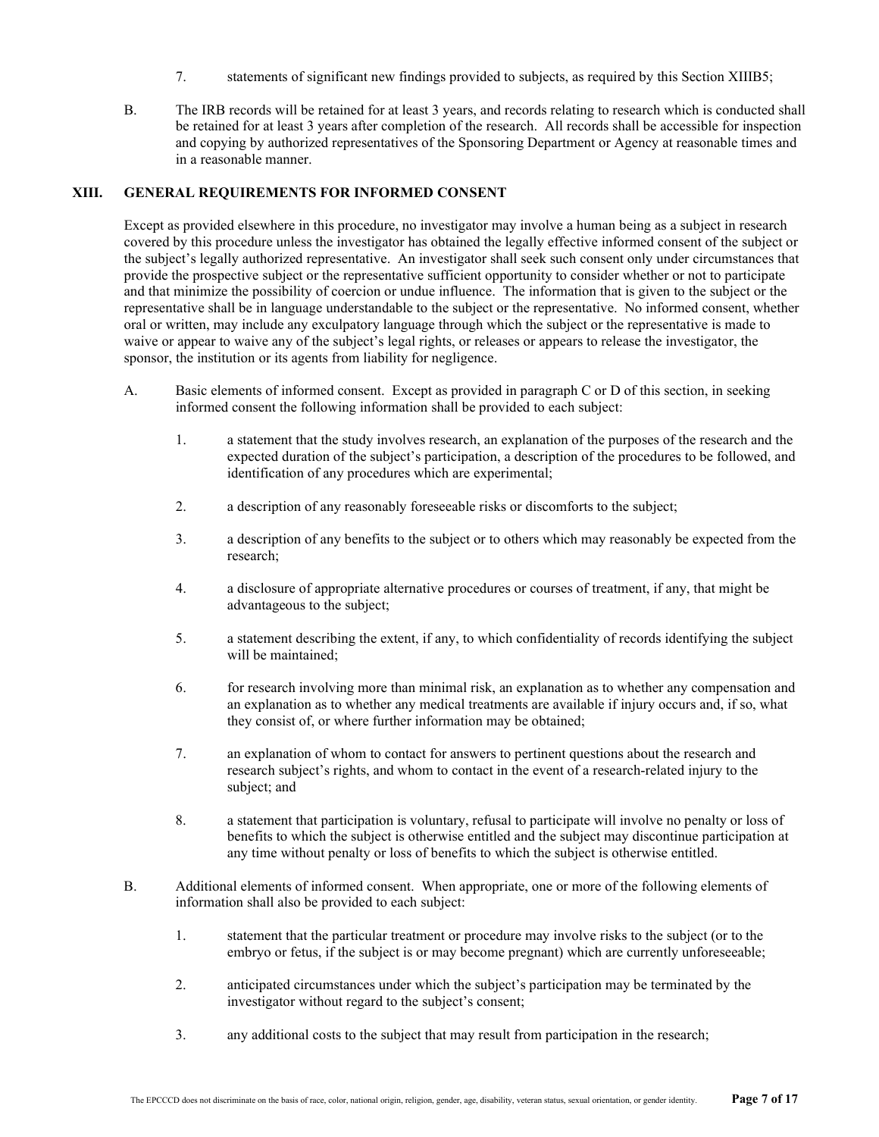- 7. statements of significant new findings provided to subjects, as required by this Section XIIIB5;
- B. The IRB records will be retained for at least 3 years, and records relating to research which is conducted shall be retained for at least 3 years after completion of the research. All records shall be accessible for inspection and copying by authorized representatives of the Sponsoring Department or Agency at reasonable times and in a reasonable manner.

#### **XIII. GENERAL REQUIREMENTS FOR INFORMED CONSENT**

Except as provided elsewhere in this procedure, no investigator may involve a human being as a subject in research covered by this procedure unless the investigator has obtained the legally effective informed consent of the subject or the subject's legally authorized representative. An investigator shall seek such consent only under circumstances that provide the prospective subject or the representative sufficient opportunity to consider whether or not to participate and that minimize the possibility of coercion or undue influence. The information that is given to the subject or the representative shall be in language understandable to the subject or the representative. No informed consent, whether oral or written, may include any exculpatory language through which the subject or the representative is made to waive or appear to waive any of the subject's legal rights, or releases or appears to release the investigator, the sponsor, the institution or its agents from liability for negligence.

- A. Basic elements of informed consent. Except as provided in paragraph C or D of this section, in seeking informed consent the following information shall be provided to each subject:
	- 1. a statement that the study involves research, an explanation of the purposes of the research and the expected duration of the subject's participation, a description of the procedures to be followed, and identification of any procedures which are experimental;
	- 2. a description of any reasonably foreseeable risks or discomforts to the subject;
	- 3. a description of any benefits to the subject or to others which may reasonably be expected from the research;
	- 4. a disclosure of appropriate alternative procedures or courses of treatment, if any, that might be advantageous to the subject;
	- 5. a statement describing the extent, if any, to which confidentiality of records identifying the subject will be maintained;
	- 6. for research involving more than minimal risk, an explanation as to whether any compensation and an explanation as to whether any medical treatments are available if injury occurs and, if so, what they consist of, or where further information may be obtained;
	- 7. an explanation of whom to contact for answers to pertinent questions about the research and research subject's rights, and whom to contact in the event of a research-related injury to the subject; and
	- 8. a statement that participation is voluntary, refusal to participate will involve no penalty or loss of benefits to which the subject is otherwise entitled and the subject may discontinue participation at any time without penalty or loss of benefits to which the subject is otherwise entitled.
- B. Additional elements of informed consent. When appropriate, one or more of the following elements of information shall also be provided to each subject:
	- 1. statement that the particular treatment or procedure may involve risks to the subject (or to the embryo or fetus, if the subject is or may become pregnant) which are currently unforeseeable;
	- 2. anticipated circumstances under which the subject's participation may be terminated by the investigator without regard to the subject's consent;
	- 3. any additional costs to the subject that may result from participation in the research;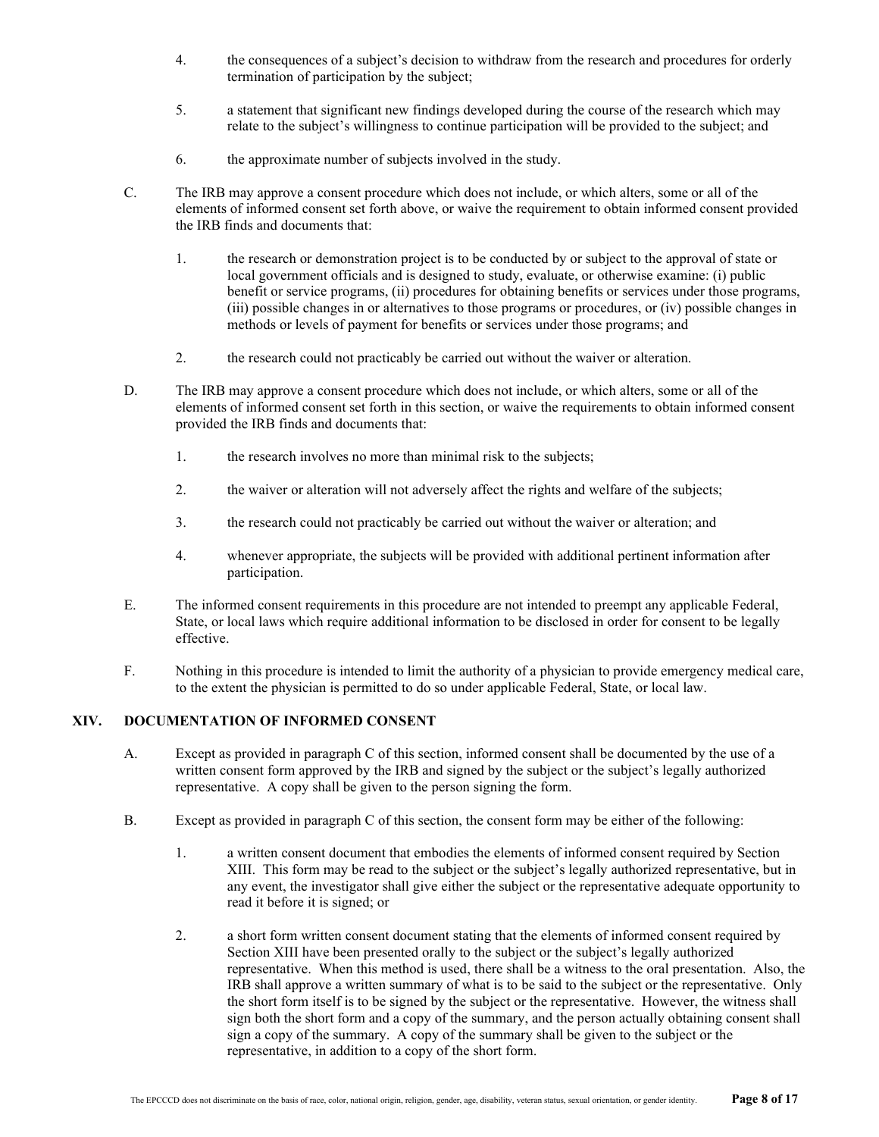- 4. the consequences of a subject's decision to withdraw from the research and procedures for orderly termination of participation by the subject;
- 5. a statement that significant new findings developed during the course of the research which may relate to the subject's willingness to continue participation will be provided to the subject; and
- 6. the approximate number of subjects involved in the study.
- C. The IRB may approve a consent procedure which does not include, or which alters, some or all of the elements of informed consent set forth above, or waive the requirement to obtain informed consent provided the IRB finds and documents that:
	- 1. the research or demonstration project is to be conducted by or subject to the approval of state or local government officials and is designed to study, evaluate, or otherwise examine: (i) public benefit or service programs, (ii) procedures for obtaining benefits or services under those programs, (iii) possible changes in or alternatives to those programs or procedures, or (iv) possible changes in methods or levels of payment for benefits or services under those programs; and
	- 2. the research could not practicably be carried out without the waiver or alteration.
- D. The IRB may approve a consent procedure which does not include, or which alters, some or all of the elements of informed consent set forth in this section, or waive the requirements to obtain informed consent provided the IRB finds and documents that:
	- 1. the research involves no more than minimal risk to the subjects;
	- 2. the waiver or alteration will not adversely affect the rights and welfare of the subjects;
	- 3. the research could not practicably be carried out without the waiver or alteration; and
	- 4. whenever appropriate, the subjects will be provided with additional pertinent information after participation.
- E. The informed consent requirements in this procedure are not intended to preempt any applicable Federal, State, or local laws which require additional information to be disclosed in order for consent to be legally effective.
- F. Nothing in this procedure is intended to limit the authority of a physician to provide emergency medical care, to the extent the physician is permitted to do so under applicable Federal, State, or local law.

# **XIV. DOCUMENTATION OF INFORMED CONSENT**

- A. Except as provided in paragraph C of this section, informed consent shall be documented by the use of a written consent form approved by the IRB and signed by the subject or the subject's legally authorized representative. A copy shall be given to the person signing the form.
- B. Except as provided in paragraph C of this section, the consent form may be either of the following:
	- 1. a written consent document that embodies the elements of informed consent required by Section XIII. This form may be read to the subject or the subject's legally authorized representative, but in any event, the investigator shall give either the subject or the representative adequate opportunity to read it before it is signed; or
	- 2. a short form written consent document stating that the elements of informed consent required by Section XIII have been presented orally to the subject or the subject's legally authorized representative. When this method is used, there shall be a witness to the oral presentation. Also, the IRB shall approve a written summary of what is to be said to the subject or the representative. Only the short form itself is to be signed by the subject or the representative. However, the witness shall sign both the short form and a copy of the summary, and the person actually obtaining consent shall sign a copy of the summary. A copy of the summary shall be given to the subject or the representative, in addition to a copy of the short form.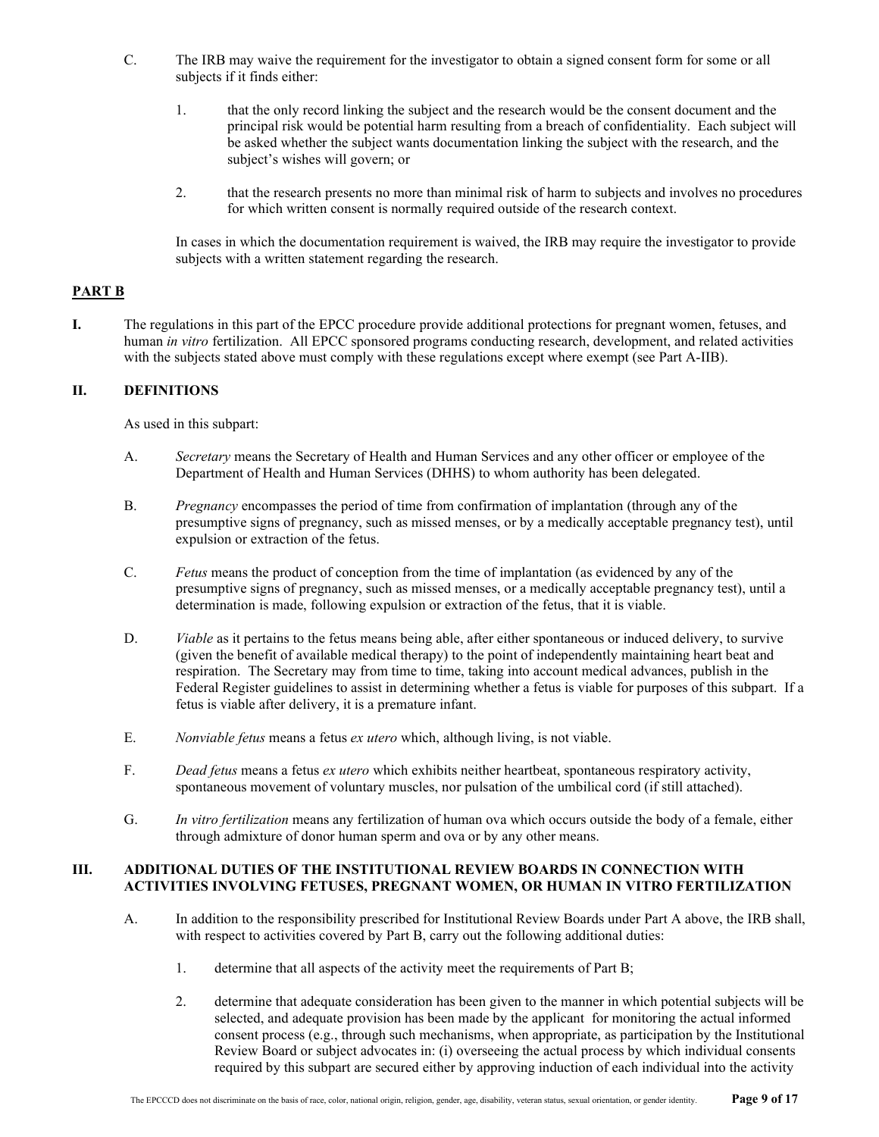- C. The IRB may waive the requirement for the investigator to obtain a signed consent form for some or all subjects if it finds either:
	- 1. that the only record linking the subject and the research would be the consent document and the principal risk would be potential harm resulting from a breach of confidentiality. Each subject will be asked whether the subject wants documentation linking the subject with the research, and the subject's wishes will govern; or
	- 2. that the research presents no more than minimal risk of harm to subjects and involves no procedures for which written consent is normally required outside of the research context.

In cases in which the documentation requirement is waived, the IRB may require the investigator to provide subjects with a written statement regarding the research.

# **PART B**

**I.** The regulations in this part of the EPCC procedure provide additional protections for pregnant women, fetuses, and human *in vitro* fertilization. All EPCC sponsored programs conducting research, development, and related activities with the subjects stated above must comply with these regulations except where exempt (see Part A-IIB).

# **II. DEFINITIONS**

As used in this subpart:

- A. *Secretary* means the Secretary of Health and Human Services and any other officer or employee of the Department of Health and Human Services (DHHS) to whom authority has been delegated.
- B. *Pregnancy* encompasses the period of time from confirmation of implantation (through any of the presumptive signs of pregnancy, such as missed menses, or by a medically acceptable pregnancy test), until expulsion or extraction of the fetus.
- C. *Fetus* means the product of conception from the time of implantation (as evidenced by any of the presumptive signs of pregnancy, such as missed menses, or a medically acceptable pregnancy test), until a determination is made, following expulsion or extraction of the fetus, that it is viable.
- D. *Viable* as it pertains to the fetus means being able, after either spontaneous or induced delivery, to survive (given the benefit of available medical therapy) to the point of independently maintaining heart beat and respiration. The Secretary may from time to time, taking into account medical advances, publish in the Federal Register guidelines to assist in determining whether a fetus is viable for purposes of this subpart. If a fetus is viable after delivery, it is a premature infant.
- E. *Nonviable fetus* means a fetus *ex utero* which, although living, is not viable.
- F. *Dead fetus* means a fetus *ex utero* which exhibits neither heartbeat, spontaneous respiratory activity, spontaneous movement of voluntary muscles, nor pulsation of the umbilical cord (if still attached).
- G. *In vitro fertilization* means any fertilization of human ova which occurs outside the body of a female, either through admixture of donor human sperm and ova or by any other means.

# **III. ADDITIONAL DUTIES OF THE INSTITUTIONAL REVIEW BOARDS IN CONNECTION WITH ACTIVITIES INVOLVING FETUSES, PREGNANT WOMEN, OR HUMAN IN VITRO FERTILIZATION**

- A. In addition to the responsibility prescribed for Institutional Review Boards under Part A above, the IRB shall, with respect to activities covered by Part B, carry out the following additional duties:
	- 1. determine that all aspects of the activity meet the requirements of Part B;
	- 2. determine that adequate consideration has been given to the manner in which potential subjects will be selected, and adequate provision has been made by the applicant for monitoring the actual informed consent process (e.g., through such mechanisms, when appropriate, as participation by the Institutional Review Board or subject advocates in: (i) overseeing the actual process by which individual consents required by this subpart are secured either by approving induction of each individual into the activity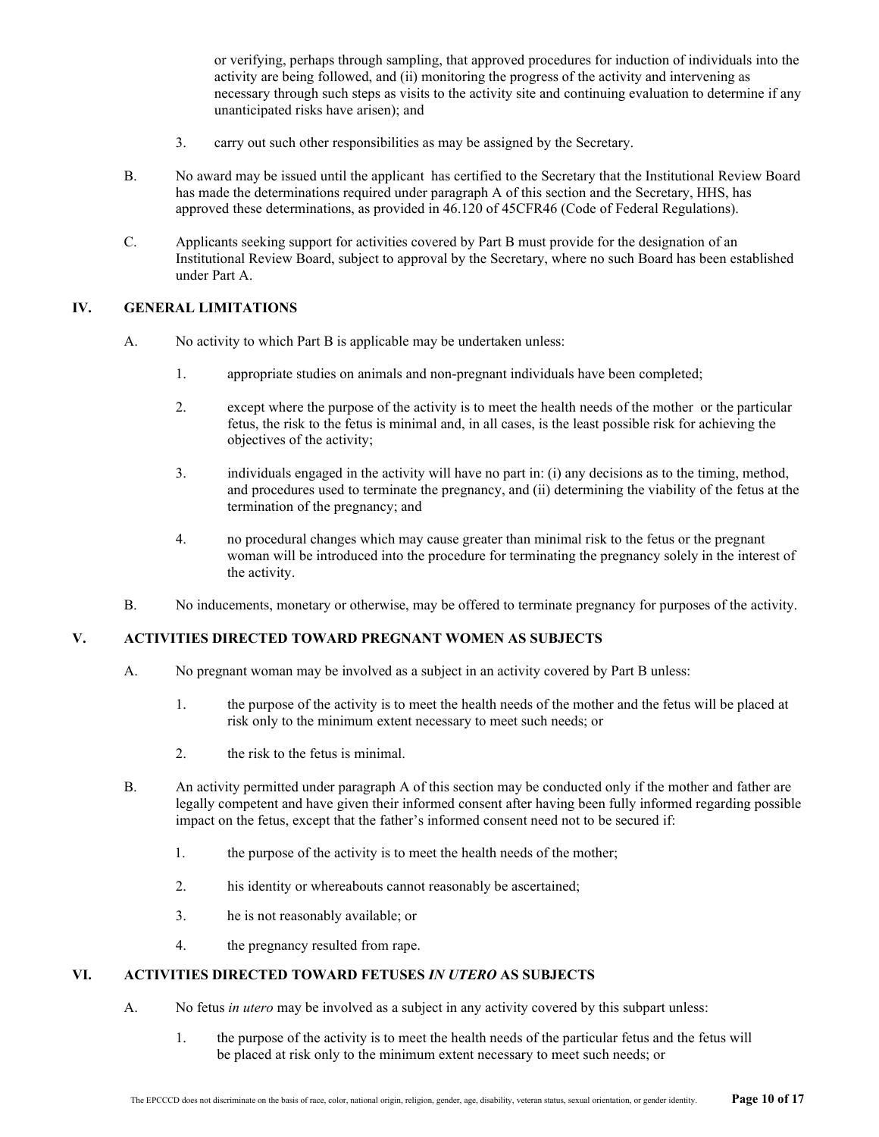or verifying, perhaps through sampling, that approved procedures for induction of individuals into the activity are being followed, and (ii) monitoring the progress of the activity and intervening as necessary through such steps as visits to the activity site and continuing evaluation to determine if any unanticipated risks have arisen); and

- 3. carry out such other responsibilities as may be assigned by the Secretary.
- B. No award may be issued until the applicant has certified to the Secretary that the Institutional Review Board has made the determinations required under paragraph A of this section and the Secretary, HHS, has approved these determinations, as provided in 46.120 of 45CFR46 (Code of Federal Regulations).
- C. Applicants seeking support for activities covered by Part B must provide for the designation of an Institutional Review Board, subject to approval by the Secretary, where no such Board has been established under Part A.

# **IV. GENERAL LIMITATIONS**

- A. No activity to which Part B is applicable may be undertaken unless:
	- 1. appropriate studies on animals and non-pregnant individuals have been completed;
	- 2. except where the purpose of the activity is to meet the health needs of the mother or the particular fetus, the risk to the fetus is minimal and, in all cases, is the least possible risk for achieving the objectives of the activity;
	- 3. individuals engaged in the activity will have no part in: (i) any decisions as to the timing, method, and procedures used to terminate the pregnancy, and (ii) determining the viability of the fetus at the termination of the pregnancy; and
	- 4. no procedural changes which may cause greater than minimal risk to the fetus or the pregnant woman will be introduced into the procedure for terminating the pregnancy solely in the interest of the activity.
- B. No inducements, monetary or otherwise, may be offered to terminate pregnancy for purposes of the activity.

# **V. ACTIVITIES DIRECTED TOWARD PREGNANT WOMEN AS SUBJECTS**

- A. No pregnant woman may be involved as a subject in an activity covered by Part B unless:
	- 1. the purpose of the activity is to meet the health needs of the mother and the fetus will be placed at risk only to the minimum extent necessary to meet such needs; or
	- 2. the risk to the fetus is minimal.
- B. An activity permitted under paragraph A of this section may be conducted only if the mother and father are legally competent and have given their informed consent after having been fully informed regarding possible impact on the fetus, except that the father's informed consent need not to be secured if:
	- 1. the purpose of the activity is to meet the health needs of the mother;
	- 2. his identity or whereabouts cannot reasonably be ascertained;
	- 3. he is not reasonably available; or
	- 4. the pregnancy resulted from rape.

# **VI. ACTIVITIES DIRECTED TOWARD FETUSES** *IN UTERO* **AS SUBJECTS**

- A. No fetus *in utero* may be involved as a subject in any activity covered by this subpart unless:
	- 1. the purpose of the activity is to meet the health needs of the particular fetus and the fetus will be placed at risk only to the minimum extent necessary to meet such needs; or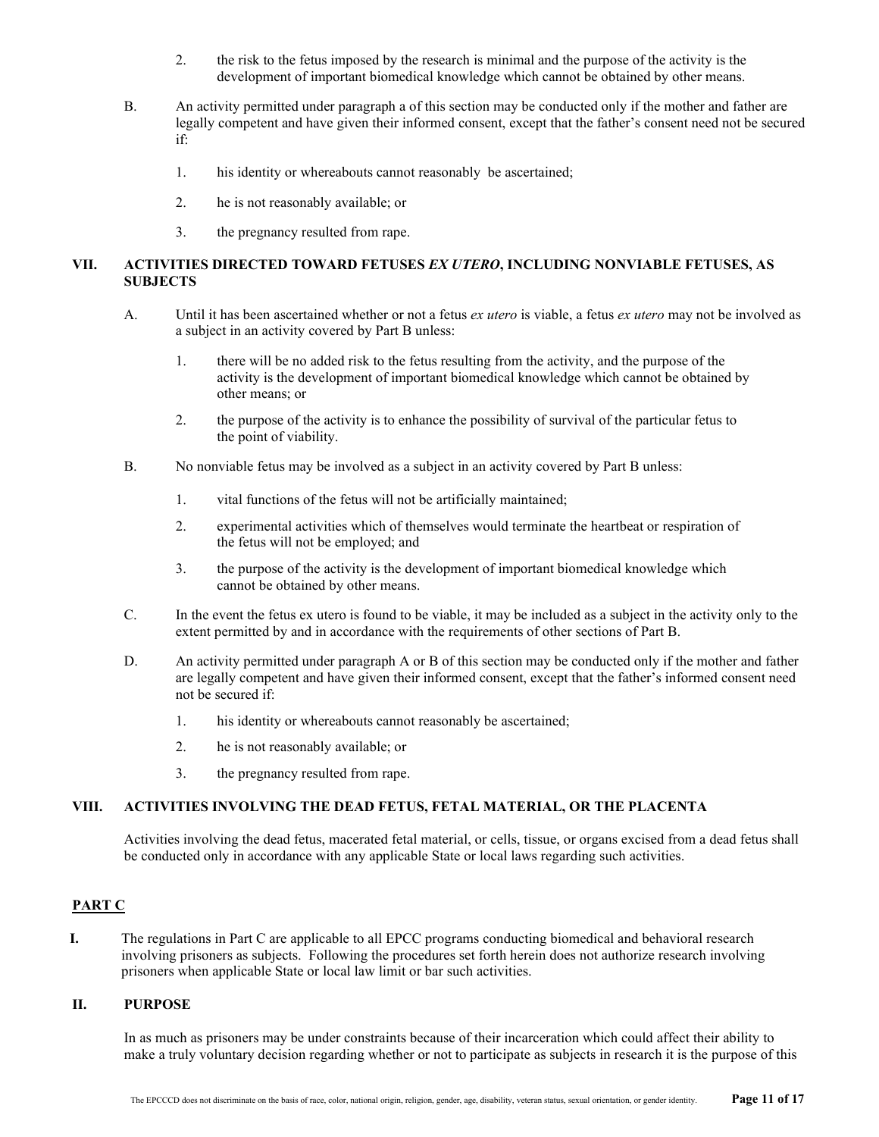- 2. the risk to the fetus imposed by the research is minimal and the purpose of the activity is the development of important biomedical knowledge which cannot be obtained by other means.
- B. An activity permitted under paragraph a of this section may be conducted only if the mother and father are legally competent and have given their informed consent, except that the father's consent need not be secured if:
	- 1. his identity or whereabouts cannot reasonably be ascertained;
	- 2. he is not reasonably available; or
	- 3. the pregnancy resulted from rape.

#### **VII. ACTIVITIES DIRECTED TOWARD FETUSES** *EX UTERO***, INCLUDING NONVIABLE FETUSES, AS SUBJECTS**

- A. Until it has been ascertained whether or not a fetus *ex utero* is viable, a fetus *ex utero* may not be involved as a subject in an activity covered by Part B unless:
	- 1. there will be no added risk to the fetus resulting from the activity, and the purpose of the activity is the development of important biomedical knowledge which cannot be obtained by other means; or
	- 2. the purpose of the activity is to enhance the possibility of survival of the particular fetus to the point of viability.
- B. No nonviable fetus may be involved as a subject in an activity covered by Part B unless:
	- 1. vital functions of the fetus will not be artificially maintained;
	- 2. experimental activities which of themselves would terminate the heartbeat or respiration of the fetus will not be employed; and
	- 3. the purpose of the activity is the development of important biomedical knowledge which cannot be obtained by other means.
- C. In the event the fetus ex utero is found to be viable, it may be included as a subject in the activity only to the extent permitted by and in accordance with the requirements of other sections of Part B.
- D. An activity permitted under paragraph A or B of this section may be conducted only if the mother and father are legally competent and have given their informed consent, except that the father's informed consent need not be secured if:
	- 1. his identity or whereabouts cannot reasonably be ascertained;
	- 2. he is not reasonably available; or
	- 3. the pregnancy resulted from rape.

# **VIII. ACTIVITIES INVOLVING THE DEAD FETUS, FETAL MATERIAL, OR THE PLACENTA**

Activities involving the dead fetus, macerated fetal material, or cells, tissue, or organs excised from a dead fetus shall be conducted only in accordance with any applicable State or local laws regarding such activities.

# **PART C**

**I.** The regulations in Part C are applicable to all EPCC programs conducting biomedical and behavioral research involving prisoners as subjects. Following the procedures set forth herein does not authorize research involving prisoners when applicable State or local law limit or bar such activities.

#### **II. PURPOSE**

In as much as prisoners may be under constraints because of their incarceration which could affect their ability to make a truly voluntary decision regarding whether or not to participate as subjects in research it is the purpose of this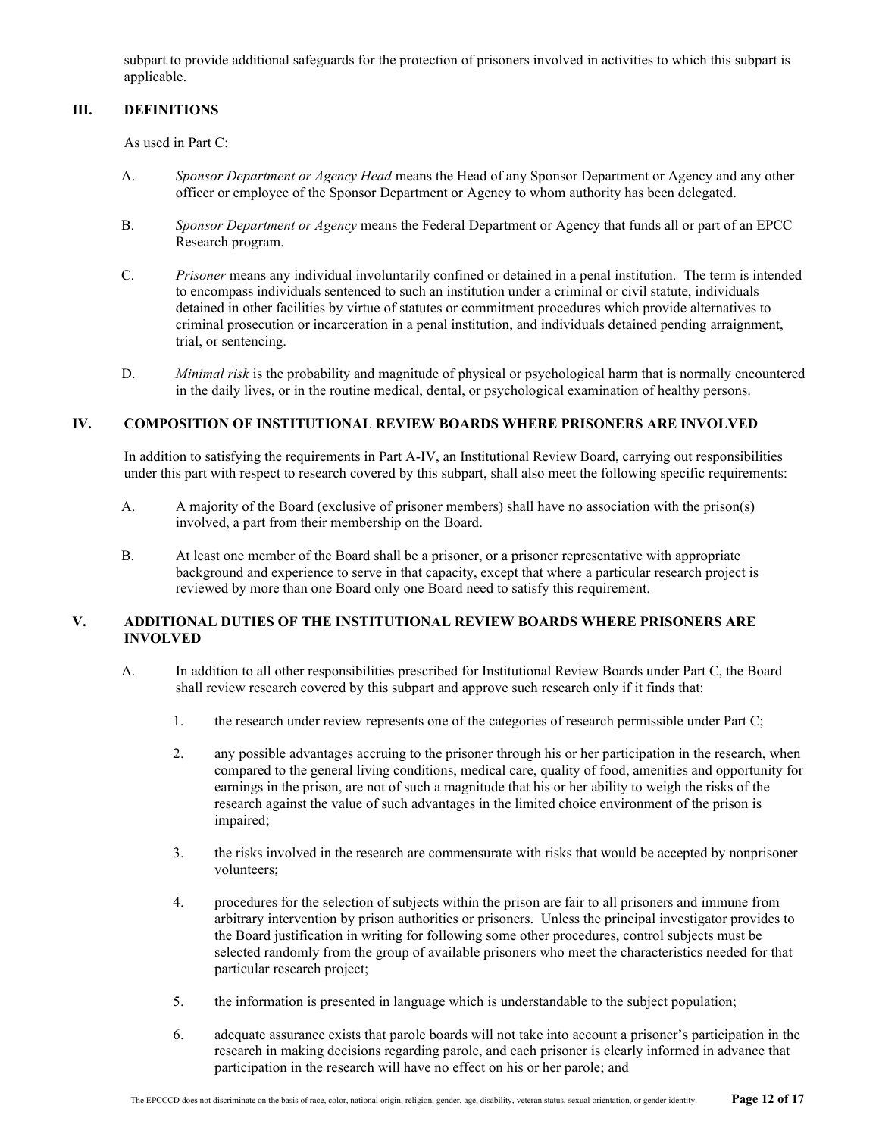subpart to provide additional safeguards for the protection of prisoners involved in activities to which this subpart is applicable.

# **III. DEFINITIONS**

As used in Part C:

- A. *Sponsor Department or Agency Head* means the Head of any Sponsor Department or Agency and any other officer or employee of the Sponsor Department or Agency to whom authority has been delegated.
- B. *Sponsor Department or Agency* means the Federal Department or Agency that funds all or part of an EPCC Research program.
- C. *Prisoner* means any individual involuntarily confined or detained in a penal institution. The term is intended to encompass individuals sentenced to such an institution under a criminal or civil statute, individuals detained in other facilities by virtue of statutes or commitment procedures which provide alternatives to criminal prosecution or incarceration in a penal institution, and individuals detained pending arraignment, trial, or sentencing.
- D. *Minimal risk* is the probability and magnitude of physical or psychological harm that is normally encountered in the daily lives, or in the routine medical, dental, or psychological examination of healthy persons.

#### **IV. COMPOSITION OF INSTITUTIONAL REVIEW BOARDS WHERE PRISONERS ARE INVOLVED**

In addition to satisfying the requirements in Part A-IV, an Institutional Review Board, carrying out responsibilities under this part with respect to research covered by this subpart, shall also meet the following specific requirements:

- A. A majority of the Board (exclusive of prisoner members) shall have no association with the prison(s) involved, a part from their membership on the Board.
- B. At least one member of the Board shall be a prisoner, or a prisoner representative with appropriate background and experience to serve in that capacity, except that where a particular research project is reviewed by more than one Board only one Board need to satisfy this requirement.

#### **V. ADDITIONAL DUTIES OF THE INSTITUTIONAL REVIEW BOARDS WHERE PRISONERS ARE INVOLVED**

- A. In addition to all other responsibilities prescribed for Institutional Review Boards under Part C, the Board shall review research covered by this subpart and approve such research only if it finds that:
	- 1. the research under review represents one of the categories of research permissible under Part C;
	- 2. any possible advantages accruing to the prisoner through his or her participation in the research, when compared to the general living conditions, medical care, quality of food, amenities and opportunity for earnings in the prison, are not of such a magnitude that his or her ability to weigh the risks of the research against the value of such advantages in the limited choice environment of the prison is impaired;
	- 3. the risks involved in the research are commensurate with risks that would be accepted by nonprisoner volunteers;
	- 4. procedures for the selection of subjects within the prison are fair to all prisoners and immune from arbitrary intervention by prison authorities or prisoners. Unless the principal investigator provides to the Board justification in writing for following some other procedures, control subjects must be selected randomly from the group of available prisoners who meet the characteristics needed for that particular research project;
	- 5. the information is presented in language which is understandable to the subject population;
	- 6. adequate assurance exists that parole boards will not take into account a prisoner's participation in the research in making decisions regarding parole, and each prisoner is clearly informed in advance that participation in the research will have no effect on his or her parole; and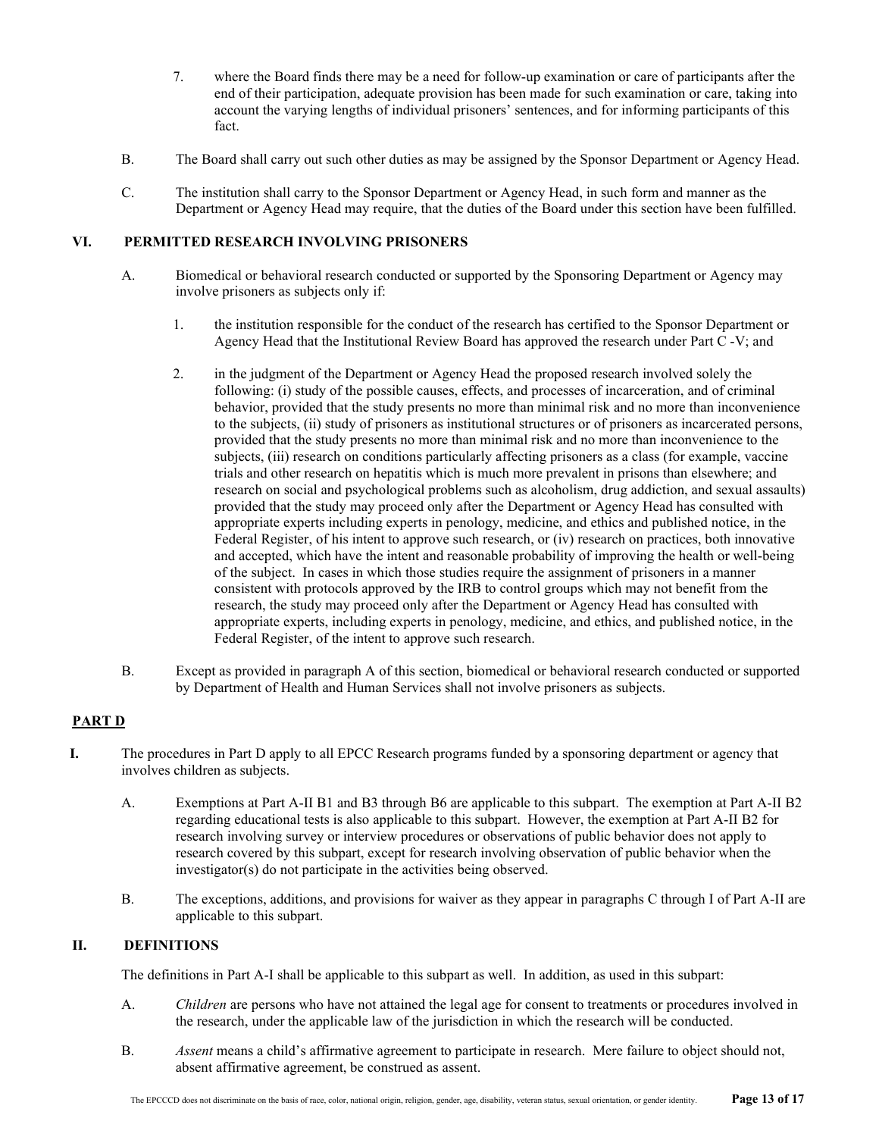- 7. where the Board finds there may be a need for follow-up examination or care of participants after the end of their participation, adequate provision has been made for such examination or care, taking into account the varying lengths of individual prisoners' sentences, and for informing participants of this fact.
- B. The Board shall carry out such other duties as may be assigned by the Sponsor Department or Agency Head.
- C. The institution shall carry to the Sponsor Department or Agency Head, in such form and manner as the Department or Agency Head may require, that the duties of the Board under this section have been fulfilled.

# **VI. PERMITTED RESEARCH INVOLVING PRISONERS**

- A. Biomedical or behavioral research conducted or supported by the Sponsoring Department or Agency may involve prisoners as subjects only if:
	- 1. the institution responsible for the conduct of the research has certified to the Sponsor Department or Agency Head that the Institutional Review Board has approved the research under Part C -V; and
	- 2. in the judgment of the Department or Agency Head the proposed research involved solely the following: (i) study of the possible causes, effects, and processes of incarceration, and of criminal behavior, provided that the study presents no more than minimal risk and no more than inconvenience to the subjects, (ii) study of prisoners as institutional structures or of prisoners as incarcerated persons, provided that the study presents no more than minimal risk and no more than inconvenience to the subjects, (iii) research on conditions particularly affecting prisoners as a class (for example, vaccine trials and other research on hepatitis which is much more prevalent in prisons than elsewhere; and research on social and psychological problems such as alcoholism, drug addiction, and sexual assaults) provided that the study may proceed only after the Department or Agency Head has consulted with appropriate experts including experts in penology, medicine, and ethics and published notice, in the Federal Register, of his intent to approve such research, or (iv) research on practices, both innovative and accepted, which have the intent and reasonable probability of improving the health or well-being of the subject. In cases in which those studies require the assignment of prisoners in a manner consistent with protocols approved by the IRB to control groups which may not benefit from the research, the study may proceed only after the Department or Agency Head has consulted with appropriate experts, including experts in penology, medicine, and ethics, and published notice, in the Federal Register, of the intent to approve such research.
- B. Except as provided in paragraph A of this section, biomedical or behavioral research conducted or supported by Department of Health and Human Services shall not involve prisoners as subjects.

# **PART D**

- **I.** The procedures in Part D apply to all EPCC Research programs funded by a sponsoring department or agency that involves children as subjects.
	- A. Exemptions at Part A-II B1 and B3 through B6 are applicable to this subpart. The exemption at Part A-II B2 regarding educational tests is also applicable to this subpart. However, the exemption at Part A-II B2 for research involving survey or interview procedures or observations of public behavior does not apply to research covered by this subpart, except for research involving observation of public behavior when the investigator(s) do not participate in the activities being observed.
	- B. The exceptions, additions, and provisions for waiver as they appear in paragraphs C through I of Part A-II are applicable to this subpart.

# **II. DEFINITIONS**

The definitions in Part A-I shall be applicable to this subpart as well. In addition, as used in this subpart:

- A. *Children* are persons who have not attained the legal age for consent to treatments or procedures involved in the research, under the applicable law of the jurisdiction in which the research will be conducted.
- B. *Assent* means a child's affirmative agreement to participate in research. Mere failure to object should not, absent affirmative agreement, be construed as assent.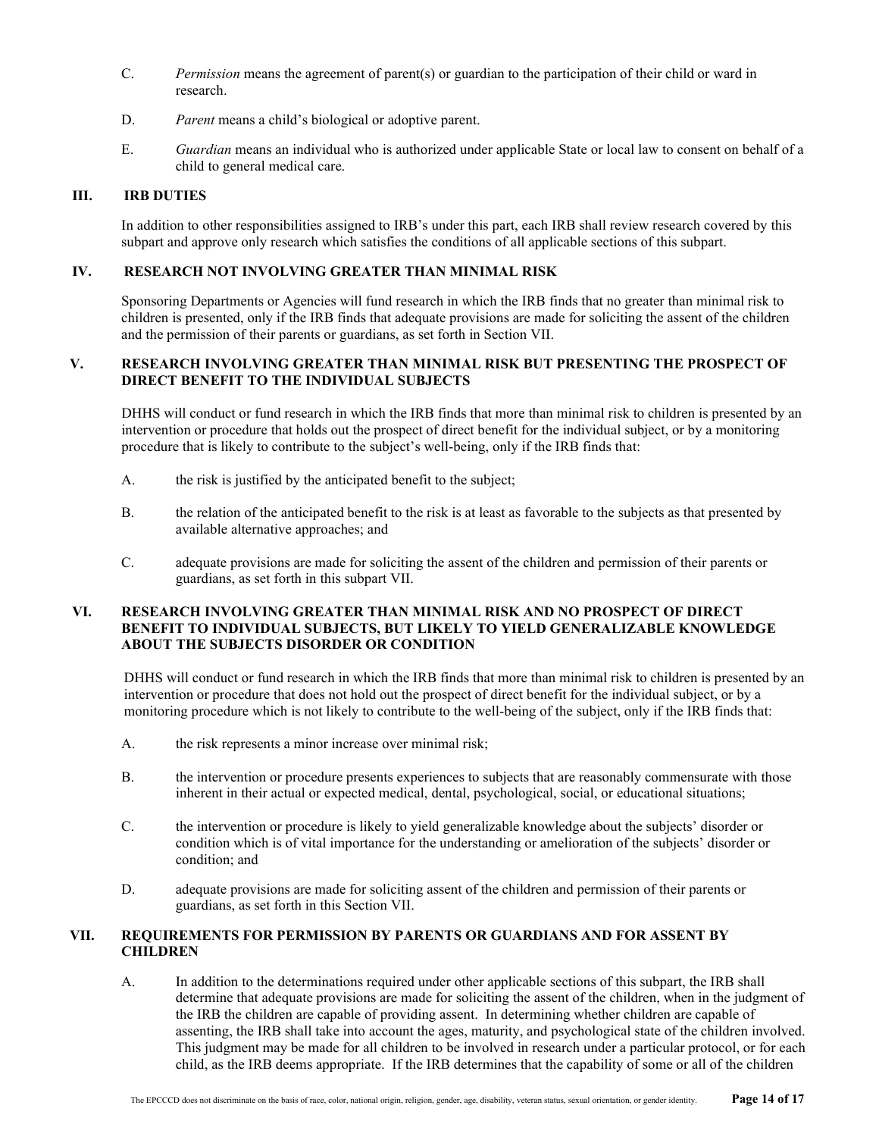- C. *Permission* means the agreement of parent(s) or guardian to the participation of their child or ward in research.
- D. *Parent* means a child's biological or adoptive parent.
- E. *Guardian* means an individual who is authorized under applicable State or local law to consent on behalf of a child to general medical care.

#### **III. IRB DUTIES**

In addition to other responsibilities assigned to IRB's under this part, each IRB shall review research covered by this subpart and approve only research which satisfies the conditions of all applicable sections of this subpart.

# **IV. RESEARCH NOT INVOLVING GREATER THAN MINIMAL RISK**

Sponsoring Departments or Agencies will fund research in which the IRB finds that no greater than minimal risk to children is presented, only if the IRB finds that adequate provisions are made for soliciting the assent of the children and the permission of their parents or guardians, as set forth in Section VII.

#### **V. RESEARCH INVOLVING GREATER THAN MINIMAL RISK BUT PRESENTING THE PROSPECT OF DIRECT BENEFIT TO THE INDIVIDUAL SUBJECTS**

DHHS will conduct or fund research in which the IRB finds that more than minimal risk to children is presented by an intervention or procedure that holds out the prospect of direct benefit for the individual subject, or by a monitoring procedure that is likely to contribute to the subject's well-being, only if the IRB finds that:

- A. the risk is justified by the anticipated benefit to the subject;
- B. the relation of the anticipated benefit to the risk is at least as favorable to the subjects as that presented by available alternative approaches; and
- C. adequate provisions are made for soliciting the assent of the children and permission of their parents or guardians, as set forth in this subpart VII.

# **VI. RESEARCH INVOLVING GREATER THAN MINIMAL RISK AND NO PROSPECT OF DIRECT BENEFIT TO INDIVIDUAL SUBJECTS, BUT LIKELY TO YIELD GENERALIZABLE KNOWLEDGE ABOUT THE SUBJECTS DISORDER OR CONDITION**

DHHS will conduct or fund research in which the IRB finds that more than minimal risk to children is presented by an intervention or procedure that does not hold out the prospect of direct benefit for the individual subject, or by a monitoring procedure which is not likely to contribute to the well-being of the subject, only if the IRB finds that:

- A. the risk represents a minor increase over minimal risk;
- B. the intervention or procedure presents experiences to subjects that are reasonably commensurate with those inherent in their actual or expected medical, dental, psychological, social, or educational situations;
- C. the intervention or procedure is likely to yield generalizable knowledge about the subjects' disorder or condition which is of vital importance for the understanding or amelioration of the subjects' disorder or condition; and
- D. adequate provisions are made for soliciting assent of the children and permission of their parents or guardians, as set forth in this Section VII.

# **VII. REQUIREMENTS FOR PERMISSION BY PARENTS OR GUARDIANS AND FOR ASSENT BY CHILDREN**

A. In addition to the determinations required under other applicable sections of this subpart, the IRB shall determine that adequate provisions are made for soliciting the assent of the children, when in the judgment of the IRB the children are capable of providing assent. In determining whether children are capable of assenting, the IRB shall take into account the ages, maturity, and psychological state of the children involved. This judgment may be made for all children to be involved in research under a particular protocol, or for each child, as the IRB deems appropriate. If the IRB determines that the capability of some or all of the children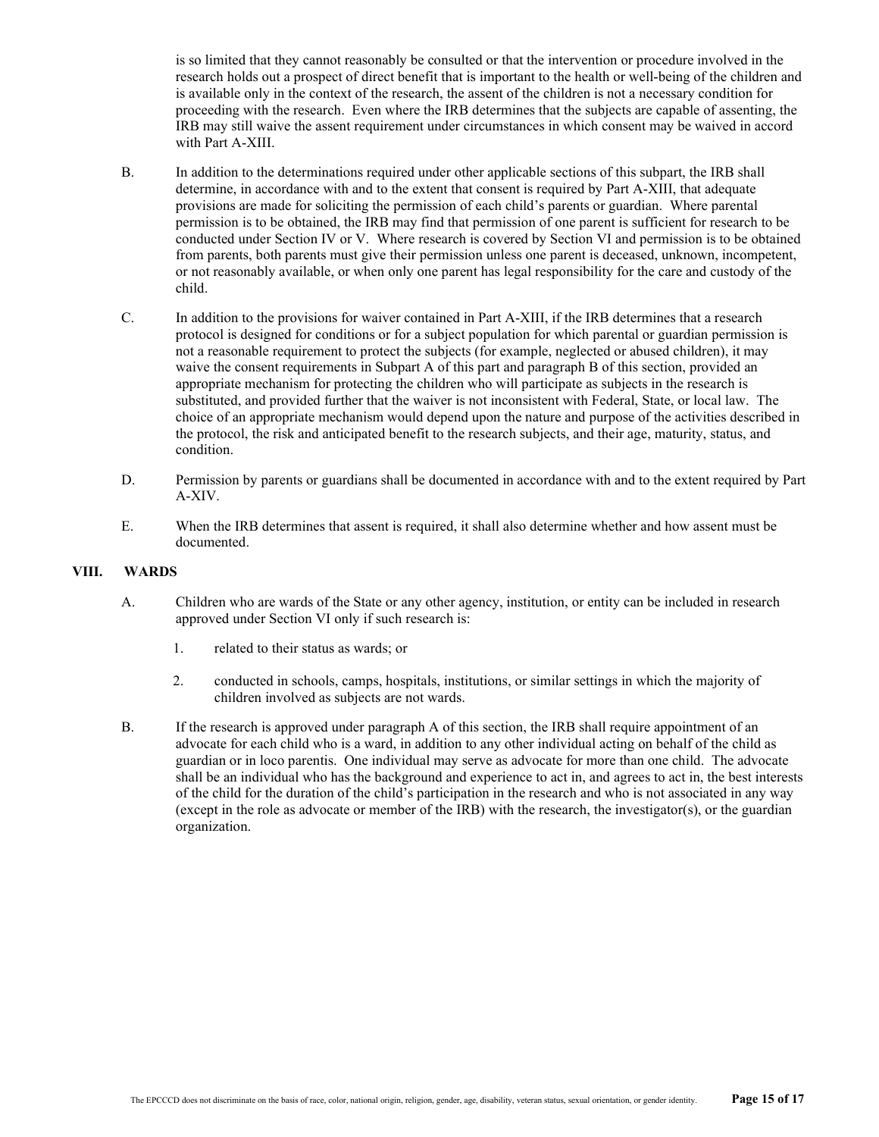is so limited that they cannot reasonably be consulted or that the intervention or procedure involved in the research holds out a prospect of direct benefit that is important to the health or well-being of the children and is available only in the context of the research, the assent of the children is not a necessary condition for proceeding with the research. Even where the IRB determines that the subjects are capable of assenting, the IRB may still waive the assent requirement under circumstances in which consent may be waived in accord with Part A-XIII.

- B. In addition to the determinations required under other applicable sections of this subpart, the IRB shall determine, in accordance with and to the extent that consent is required by Part A-XIII, that adequate provisions are made for soliciting the permission of each child's parents or guardian. Where parental permission is to be obtained, the IRB may find that permission of one parent is sufficient for research to be conducted under Section IV or V. Where research is covered by Section VI and permission is to be obtained from parents, both parents must give their permission unless one parent is deceased, unknown, incompetent, or not reasonably available, or when only one parent has legal responsibility for the care and custody of the child.
- C. In addition to the provisions for waiver contained in Part A-XIII, if the IRB determines that a research protocol is designed for conditions or for a subject population for which parental or guardian permission is not a reasonable requirement to protect the subjects (for example, neglected or abused children), it may waive the consent requirements in Subpart A of this part and paragraph B of this section, provided an appropriate mechanism for protecting the children who will participate as subjects in the research is substituted, and provided further that the waiver is not inconsistent with Federal, State, or local law. The choice of an appropriate mechanism would depend upon the nature and purpose of the activities described in the protocol, the risk and anticipated benefit to the research subjects, and their age, maturity, status, and condition.
- D. Permission by parents or guardians shall be documented in accordance with and to the extent required by Part A-XIV.
- E. When the IRB determines that assent is required, it shall also determine whether and how assent must be documented.

#### **VIII. WARDS**

- A. Children who are wards of the State or any other agency, institution, or entity can be included in research approved under Section VI only if such research is:
	- 1. related to their status as wards; or
	- 2. conducted in schools, camps, hospitals, institutions, or similar settings in which the majority of children involved as subjects are not wards.
- B. If the research is approved under paragraph A of this section, the IRB shall require appointment of an advocate for each child who is a ward, in addition to any other individual acting on behalf of the child as guardian or in loco parentis. One individual may serve as advocate for more than one child. The advocate shall be an individual who has the background and experience to act in, and agrees to act in, the best interests of the child for the duration of the child's participation in the research and who is not associated in any way (except in the role as advocate or member of the IRB) with the research, the investigator(s), or the guardian organization.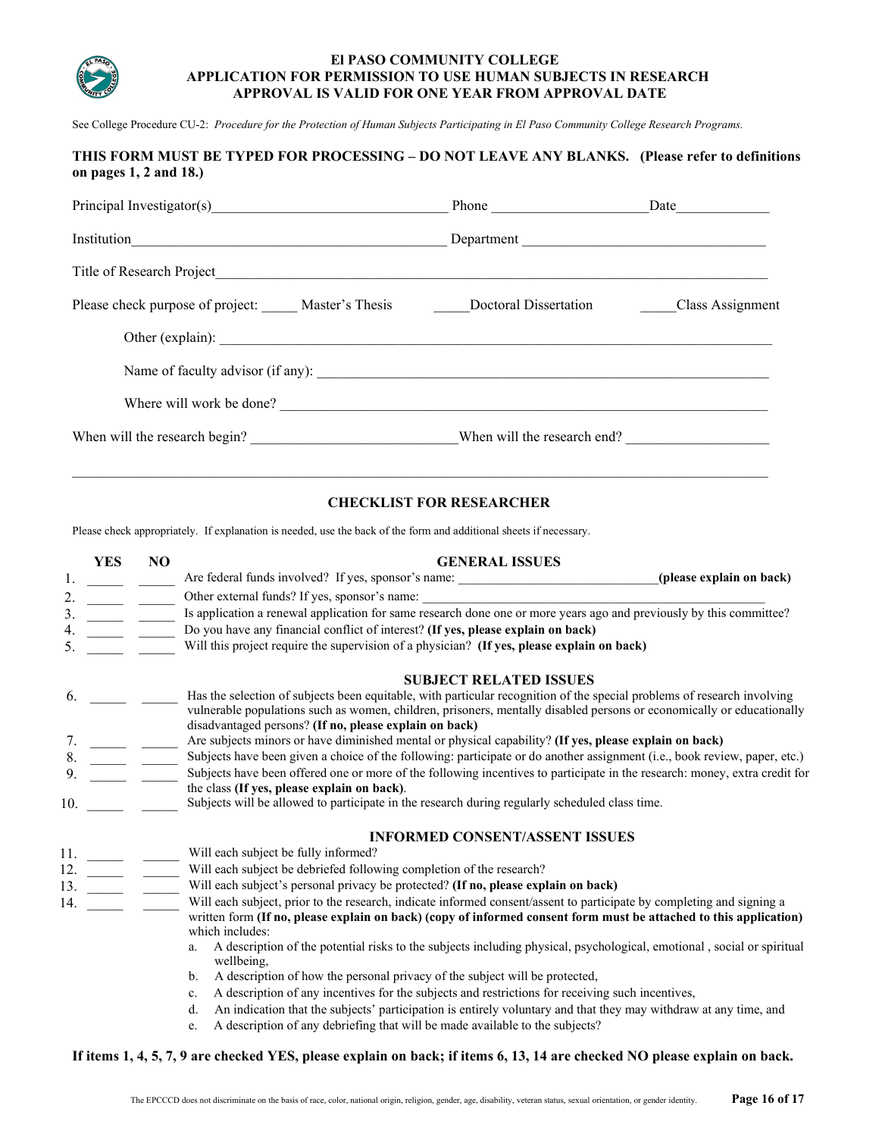

#### **El PASO COMMUNITY COLLEGE APPLICATION FOR PERMISSION TO USE HUMAN SUBJECTS IN RESEARCH APPROVAL IS VALID FOR ONE YEAR FROM APPROVAL DATE**

See College Procedure CU-2: *Procedure for the Protection of Human Subjects Participating in El Paso Community College Research Programs.*

| THIS FORM MUST BE TYPED FOR PROCESSING – DO NOT LEAVE ANY BLANKS. (Please refer to definitions<br>on pages $1, 2$ and $18$ .) |  |  |  |  |  |
|-------------------------------------------------------------------------------------------------------------------------------|--|--|--|--|--|
|                                                                                                                               |  |  |  |  |  |
|                                                                                                                               |  |  |  |  |  |
| Title of Research Project <u>expression and the second contract of the second contract of Research Project</u>                |  |  |  |  |  |
| Please check purpose of project: Master's Thesis Doctoral Dissertation Class Assignment                                       |  |  |  |  |  |
|                                                                                                                               |  |  |  |  |  |
|                                                                                                                               |  |  |  |  |  |
| Where will work be done?                                                                                                      |  |  |  |  |  |
| When will the research begin?<br>When will the research end?                                                                  |  |  |  |  |  |

# **CHECKLIST FOR RESEARCHER**

 $\mathcal{L}_\mathcal{L} = \{ \mathcal{L}_\mathcal{L} = \{ \mathcal{L}_\mathcal{L} = \{ \mathcal{L}_\mathcal{L} = \{ \mathcal{L}_\mathcal{L} = \{ \mathcal{L}_\mathcal{L} = \{ \mathcal{L}_\mathcal{L} = \{ \mathcal{L}_\mathcal{L} = \{ \mathcal{L}_\mathcal{L} = \{ \mathcal{L}_\mathcal{L} = \{ \mathcal{L}_\mathcal{L} = \{ \mathcal{L}_\mathcal{L} = \{ \mathcal{L}_\mathcal{L} = \{ \mathcal{L}_\mathcal{L} = \{ \mathcal{L}_\mathcal{$ 

Please check appropriately. If explanation is needed, use the back of the form and additional sheets if necessary.

| <b>YES</b><br>NO. |     |                                                                                                | <b>GENERAL ISSUES</b>                                                                                                                                                                                                                                                                                      |                          |  |
|-------------------|-----|------------------------------------------------------------------------------------------------|------------------------------------------------------------------------------------------------------------------------------------------------------------------------------------------------------------------------------------------------------------------------------------------------------------|--------------------------|--|
| 1.                |     |                                                                                                | Are federal funds involved? If yes, sponsor's name: ____________________________                                                                                                                                                                                                                           | (please explain on back) |  |
| 2.                |     |                                                                                                |                                                                                                                                                                                                                                                                                                            |                          |  |
| 3.                |     |                                                                                                | Is application a renewal application for same research done one or more years ago and previously by this committee?                                                                                                                                                                                        |                          |  |
| 4.                |     |                                                                                                | Do you have any financial conflict of interest? (If yes, please explain on back)                                                                                                                                                                                                                           |                          |  |
| 5.                |     |                                                                                                | Will this project require the supervision of a physician? (If yes, please explain on back)                                                                                                                                                                                                                 |                          |  |
|                   |     |                                                                                                | <b>SUBJECT RELATED ISSUES</b>                                                                                                                                                                                                                                                                              |                          |  |
| 6.                |     |                                                                                                | Has the selection of subjects been equitable, with particular recognition of the special problems of research involving<br>vulnerable populations such as women, children, prisoners, mentally disabled persons or economically or educationally<br>disadvantaged persons? (If no, please explain on back) |                          |  |
|                   |     |                                                                                                | Are subjects minors or have diminished mental or physical capability? (If yes, please explain on back)                                                                                                                                                                                                     |                          |  |
| 8.                |     |                                                                                                | Subjects have been given a choice of the following: participate or do another assignment (i.e., book review, paper, etc.)                                                                                                                                                                                  |                          |  |
| 9.                |     |                                                                                                | Subjects have been offered one or more of the following incentives to participate in the research: money, extra credit for<br>the class (If yes, please explain on back).                                                                                                                                  |                          |  |
| 10.               |     | Subjects will be allowed to participate in the research during regularly scheduled class time. |                                                                                                                                                                                                                                                                                                            |                          |  |
|                   |     |                                                                                                | <b>INFORMED CONSENT/ASSENT ISSUES</b>                                                                                                                                                                                                                                                                      |                          |  |
|                   | 11. |                                                                                                | Will each subject be fully informed?                                                                                                                                                                                                                                                                       |                          |  |
|                   | 12. |                                                                                                | Will each subject be debriefed following completion of the research?                                                                                                                                                                                                                                       |                          |  |
|                   | 13. |                                                                                                | Will each subject's personal privacy be protected? (If no, please explain on back)                                                                                                                                                                                                                         |                          |  |
| 14.               |     |                                                                                                | Will each subject, prior to the research, indicate informed consent/assent to participate by completing and signing a<br>written form (If no, please explain on back) (copy of informed consent form must be attached to this application)<br>which includes:                                              |                          |  |
|                   |     |                                                                                                | A description of the potential risks to the subjects including physical, psychological, emotional, social or spiritual<br>a.<br>wellbeing,                                                                                                                                                                 |                          |  |
|                   |     |                                                                                                | A description of how the personal privacy of the subject will be protected,<br>b.                                                                                                                                                                                                                          |                          |  |
|                   |     |                                                                                                | A description of any incentives for the subjects and restrictions for receiving such incentives,<br>c.                                                                                                                                                                                                     |                          |  |
|                   |     |                                                                                                | An indication that the subjects' participation is entirely voluntary and that they may withdraw at any time, and<br>d.                                                                                                                                                                                     |                          |  |
|                   |     |                                                                                                | A description of any debriefing that will be made available to the subjects?<br>e.                                                                                                                                                                                                                         |                          |  |

**If items 1, 4, 5, 7, 9 are checked YES, please explain on back; if items 6, 13, 14 are checked NO please explain on back.**